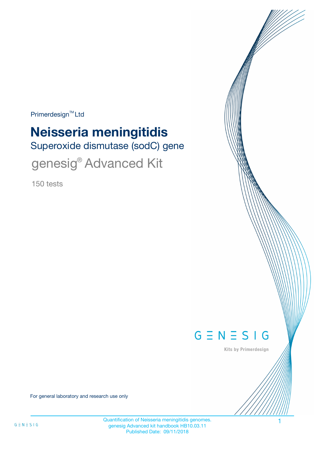$Primerdesign^{\text{TM}}$ Ltd

# **Neisseria meningitidis**

Superoxide dismutase (sodC) gene

genesig® Advanced Kit

150 tests



Kits by Primerdesign

For general laboratory and research use only

Quantification of Neisseria meningitidis genomes. 1 genesig Advanced kit handbook HB10.03.11 Published Date: 09/11/2018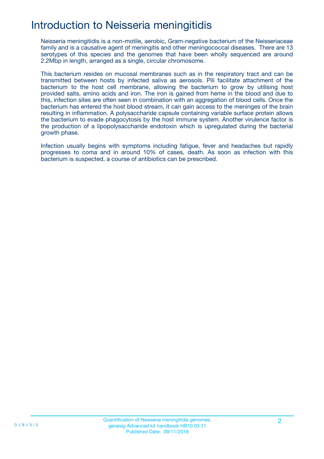# Introduction to Neisseria meningitidis

Neisseria meningitidis is a non-motile, aerobic, Gram-negative bacterium of the Neisseriaceae family and is a causative agent of meningitis and other meningococcal diseases. There are 13 serotypes of this species and the genomes that have been wholly sequenced are around 2.2Mbp in length, arranged as a single, circular chromosome.

This bacterium resides on mucosal membranes such as in the respiratory tract and can be transmitted between hosts by infected saliva as aerosols. Pili facilitate attachment of the bacterium to the host cell membrane, allowing the bacterium to grow by utilising host provided salts, amino acids and iron. The iron is gained from heme in the blood and due to this, infection sites are often seen in combination with an aggregation of blood cells. Once the bacterium has entered the host blood stream, it can gain access to the meninges of the brain resulting in inflammation. A polysaccharide capsule containing variable surface protein allows the bacterium to evade phagocytosis by the host immune system. Another virulence factor is the production of a lipopolysaccharide endotoxin which is upregulated during the bacterial growth phase.

Infection usually begins with symptoms including fatigue, fever and headaches but rapidly progresses to coma and in around 10% of cases, death. As soon as infection with this bacterium is suspected, a course of antibiotics can be prescribed.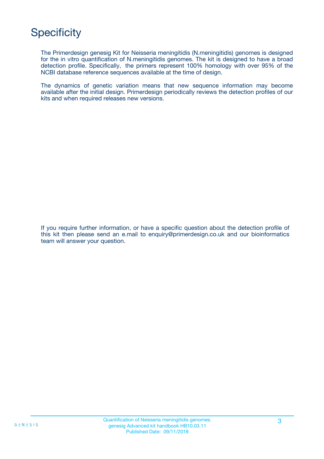# **Specificity**

The Primerdesign genesig Kit for Neisseria meningitidis (N.meningitidis) genomes is designed for the in vitro quantification of N.meningitidis genomes. The kit is designed to have a broad detection profile. Specifically, the primers represent 100% homology with over 95% of the NCBI database reference sequences available at the time of design.

The dynamics of genetic variation means that new sequence information may become available after the initial design. Primerdesign periodically reviews the detection profiles of our kits and when required releases new versions.

If you require further information, or have a specific question about the detection profile of this kit then please send an e.mail to enquiry@primerdesign.co.uk and our bioinformatics team will answer your question.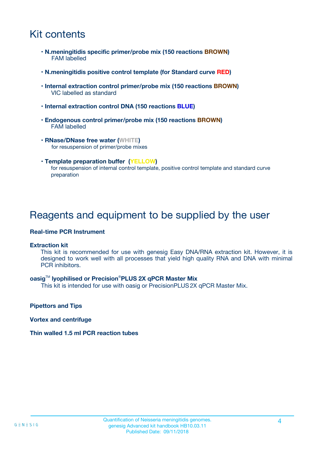# Kit contents

- **N.meningitidis specific primer/probe mix (150 reactions BROWN)** FAM labelled
- **N.meningitidis positive control template (for Standard curve RED)**
- **Internal extraction control primer/probe mix (150 reactions BROWN)** VIC labelled as standard
- **Internal extraction control DNA (150 reactions BLUE)**
- **Endogenous control primer/probe mix (150 reactions BROWN)** FAM labelled
- **RNase/DNase free water (WHITE)** for resuspension of primer/probe mixes
- **Template preparation buffer (YELLOW)** for resuspension of internal control template, positive control template and standard curve preparation

### Reagents and equipment to be supplied by the user

#### **Real-time PCR Instrument**

#### **Extraction kit**

This kit is recommended for use with genesig Easy DNA/RNA extraction kit. However, it is designed to work well with all processes that yield high quality RNA and DNA with minimal PCR inhibitors.

#### **oasig**TM **lyophilised or Precision**®**PLUS 2X qPCR Master Mix**

This kit is intended for use with oasig or PrecisionPLUS2X qPCR Master Mix.

**Pipettors and Tips**

**Vortex and centrifuge**

#### **Thin walled 1.5 ml PCR reaction tubes**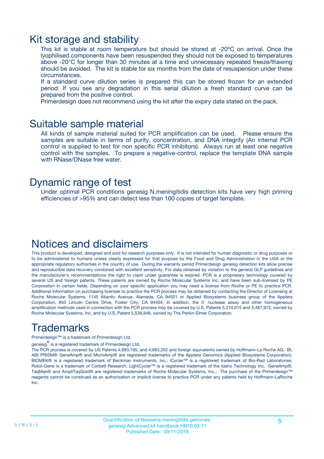### Kit storage and stability

This kit is stable at room temperature but should be stored at -20ºC on arrival. Once the lyophilised components have been resuspended they should not be exposed to temperatures above -20°C for longer than 30 minutes at a time and unnecessary repeated freeze/thawing should be avoided. The kit is stable for six months from the date of resuspension under these circumstances.

If a standard curve dilution series is prepared this can be stored frozen for an extended period. If you see any degradation in this serial dilution a fresh standard curve can be prepared from the positive control.

Primerdesign does not recommend using the kit after the expiry date stated on the pack.

### Suitable sample material

All kinds of sample material suited for PCR amplification can be used. Please ensure the samples are suitable in terms of purity, concentration, and DNA integrity (An internal PCR control is supplied to test for non specific PCR inhibitors). Always run at least one negative control with the samples. To prepare a negative-control, replace the template DNA sample with RNase/DNase free water.

### Dynamic range of test

Under optimal PCR conditions genesig N.meningitidis detection kits have very high priming efficiencies of >95% and can detect less than 100 copies of target template.

### Notices and disclaimers

This product is developed, designed and sold for research purposes only. It is not intended for human diagnostic or drug purposes or to be administered to humans unless clearly expressed for that purpose by the Food and Drug Administration in the USA or the appropriate regulatory authorities in the country of use. During the warranty period Primerdesign genesig detection kits allow precise and reproducible data recovery combined with excellent sensitivity. For data obtained by violation to the general GLP guidelines and the manufacturer's recommendations the right to claim under guarantee is expired. PCR is a proprietary technology covered by several US and foreign patents. These patents are owned by Roche Molecular Systems Inc. and have been sub-licensed by PE Corporation in certain fields. Depending on your specific application you may need a license from Roche or PE to practice PCR. Additional information on purchasing licenses to practice the PCR process may be obtained by contacting the Director of Licensing at Roche Molecular Systems, 1145 Atlantic Avenue, Alameda, CA 94501 or Applied Biosystems business group of the Applera Corporation, 850 Lincoln Centre Drive, Foster City, CA 94404. In addition, the 5' nuclease assay and other homogeneous amplification methods used in connection with the PCR process may be covered by U.S. Patents 5,210,015 and 5,487,972, owned by Roche Molecular Systems, Inc, and by U.S. Patent 5,538,848, owned by The Perkin-Elmer Corporation.

# Trademarks

Primerdesign™ is a trademark of Primerdesign Ltd.

genesig $^\circledR$  is a registered trademark of Primerdesign Ltd.

The PCR process is covered by US Patents 4,683,195, and 4,683,202 and foreign equivalents owned by Hoffmann-La Roche AG. BI, ABI PRISM® GeneAmp® and MicroAmp® are registered trademarks of the Applera Genomics (Applied Biosystems Corporation). BIOMEK® is a registered trademark of Beckman Instruments, Inc.; iCycler™ is a registered trademark of Bio-Rad Laboratories, Rotor-Gene is a trademark of Corbett Research. LightCycler™ is a registered trademark of the Idaho Technology Inc. GeneAmp®, TaqMan® and AmpliTaqGold® are registered trademarks of Roche Molecular Systems, Inc., The purchase of the Primerdesign™ reagents cannot be construed as an authorization or implicit license to practice PCR under any patents held by Hoffmann-LaRoche Inc.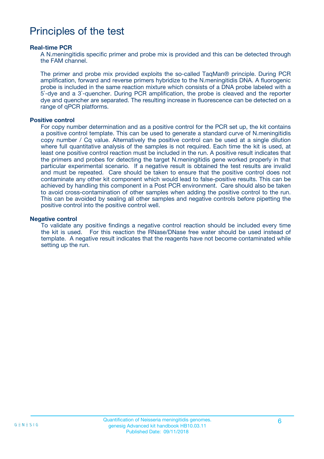### Principles of the test

#### **Real-time PCR**

A N.meningitidis specific primer and probe mix is provided and this can be detected through the FAM channel.

The primer and probe mix provided exploits the so-called TaqMan® principle. During PCR amplification, forward and reverse primers hybridize to the N.meningitidis DNA. A fluorogenic probe is included in the same reaction mixture which consists of a DNA probe labeled with a 5`-dye and a 3`-quencher. During PCR amplification, the probe is cleaved and the reporter dye and quencher are separated. The resulting increase in fluorescence can be detected on a range of qPCR platforms.

#### **Positive control**

For copy number determination and as a positive control for the PCR set up, the kit contains a positive control template. This can be used to generate a standard curve of N.meningitidis copy number / Cq value. Alternatively the positive control can be used at a single dilution where full quantitative analysis of the samples is not required. Each time the kit is used, at least one positive control reaction must be included in the run. A positive result indicates that the primers and probes for detecting the target N.meningitidis gene worked properly in that particular experimental scenario. If a negative result is obtained the test results are invalid and must be repeated. Care should be taken to ensure that the positive control does not contaminate any other kit component which would lead to false-positive results. This can be achieved by handling this component in a Post PCR environment. Care should also be taken to avoid cross-contamination of other samples when adding the positive control to the run. This can be avoided by sealing all other samples and negative controls before pipetting the positive control into the positive control well.

#### **Negative control**

To validate any positive findings a negative control reaction should be included every time the kit is used. For this reaction the RNase/DNase free water should be used instead of template. A negative result indicates that the reagents have not become contaminated while setting up the run.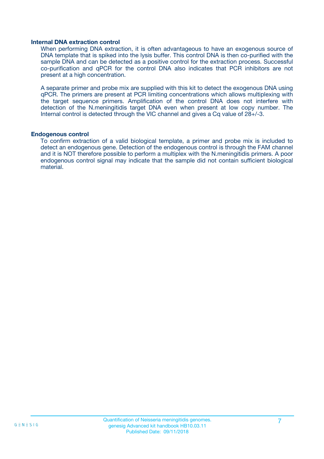#### **Internal DNA extraction control**

When performing DNA extraction, it is often advantageous to have an exogenous source of DNA template that is spiked into the lysis buffer. This control DNA is then co-purified with the sample DNA and can be detected as a positive control for the extraction process. Successful co-purification and qPCR for the control DNA also indicates that PCR inhibitors are not present at a high concentration.

A separate primer and probe mix are supplied with this kit to detect the exogenous DNA using qPCR. The primers are present at PCR limiting concentrations which allows multiplexing with the target sequence primers. Amplification of the control DNA does not interfere with detection of the N.meningitidis target DNA even when present at low copy number. The Internal control is detected through the VIC channel and gives a Cq value of 28+/-3.

#### **Endogenous control**

To confirm extraction of a valid biological template, a primer and probe mix is included to detect an endogenous gene. Detection of the endogenous control is through the FAM channel and it is NOT therefore possible to perform a multiplex with the N.meningitidis primers. A poor endogenous control signal may indicate that the sample did not contain sufficient biological material.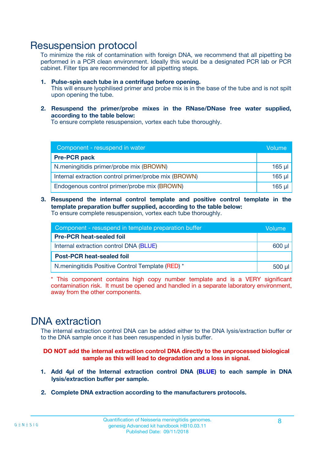### Resuspension protocol

To minimize the risk of contamination with foreign DNA, we recommend that all pipetting be performed in a PCR clean environment. Ideally this would be a designated PCR lab or PCR cabinet. Filter tips are recommended for all pipetting steps.

- **1. Pulse-spin each tube in a centrifuge before opening.** This will ensure lyophilised primer and probe mix is in the base of the tube and is not spilt upon opening the tube.
- **2. Resuspend the primer/probe mixes in the RNase/DNase free water supplied, according to the table below:**

To ensure complete resuspension, vortex each tube thoroughly.

| Component - resuspend in water                       |          |  |
|------------------------------------------------------|----------|--|
| <b>Pre-PCR pack</b>                                  |          |  |
| N.meningitidis primer/probe mix (BROWN)              | $165$ µl |  |
| Internal extraction control primer/probe mix (BROWN) | $165$ µl |  |
| Endogenous control primer/probe mix (BROWN)          | 165 µl   |  |

**3. Resuspend the internal control template and positive control template in the template preparation buffer supplied, according to the table below:** To ensure complete resuspension, vortex each tube thoroughly.

| Component - resuspend in template preparation buffer |  |  |  |
|------------------------------------------------------|--|--|--|
| <b>Pre-PCR heat-sealed foil</b>                      |  |  |  |
| Internal extraction control DNA (BLUE)               |  |  |  |
| <b>Post-PCR heat-sealed foil</b>                     |  |  |  |
| N. meningitidis Positive Control Template (RED) *    |  |  |  |

\* This component contains high copy number template and is a VERY significant contamination risk. It must be opened and handled in a separate laboratory environment, away from the other components.

### DNA extraction

The internal extraction control DNA can be added either to the DNA lysis/extraction buffer or to the DNA sample once it has been resuspended in lysis buffer.

**DO NOT add the internal extraction control DNA directly to the unprocessed biological sample as this will lead to degradation and a loss in signal.**

- **1. Add 4µl of the Internal extraction control DNA (BLUE) to each sample in DNA lysis/extraction buffer per sample.**
- **2. Complete DNA extraction according to the manufacturers protocols.**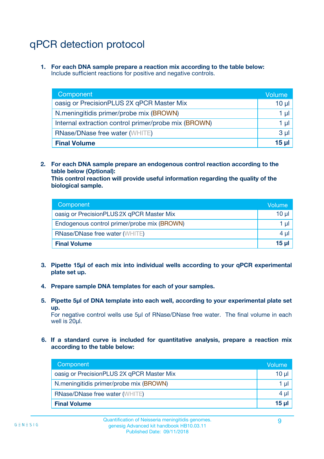# qPCR detection protocol

**1. For each DNA sample prepare a reaction mix according to the table below:** Include sufficient reactions for positive and negative controls.

| Component                                            | Volume   |
|------------------------------------------------------|----------|
| oasig or PrecisionPLUS 2X qPCR Master Mix            | 10 $\mu$ |
| N.meningitidis primer/probe mix (BROWN)              | 1 µI     |
| Internal extraction control primer/probe mix (BROWN) | 1 µl     |
| <b>RNase/DNase free water (WHITE)</b>                | $3 \mu$  |
| <b>Final Volume</b>                                  | 15 µl    |

**2. For each DNA sample prepare an endogenous control reaction according to the table below (Optional):**

**This control reaction will provide useful information regarding the quality of the biological sample.**

| Component                                   | Volume          |
|---------------------------------------------|-----------------|
| oasig or PrecisionPLUS 2X qPCR Master Mix   | 10 <sub>µ</sub> |
| Endogenous control primer/probe mix (BROWN) | 1 µI            |
| <b>RNase/DNase free water (WHITE)</b>       | 4 µl            |
| <b>Final Volume</b>                         | 15 <sub>µ</sub> |

- **3. Pipette 15µl of each mix into individual wells according to your qPCR experimental plate set up.**
- **4. Prepare sample DNA templates for each of your samples.**
- **5. Pipette 5µl of DNA template into each well, according to your experimental plate set up.**

For negative control wells use 5µl of RNase/DNase free water. The final volume in each well is 20ul.

**6. If a standard curve is included for quantitative analysis, prepare a reaction mix according to the table below:**

| Component                                 | Volume          |
|-------------------------------------------|-----------------|
| oasig or PrecisionPLUS 2X qPCR Master Mix | 10 $\mu$        |
| N.meningitidis primer/probe mix (BROWN)   | 1 µl I          |
| <b>RNase/DNase free water (WHITE)</b>     | $4 \mu$         |
| <b>Final Volume</b>                       | 15 <sub>µ</sub> |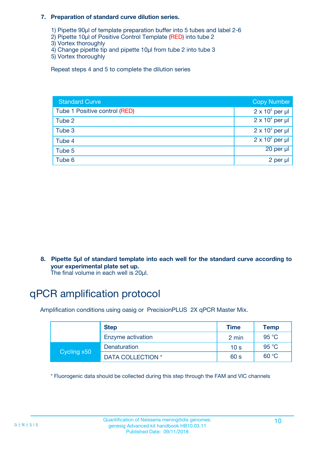#### **7. Preparation of standard curve dilution series.**

- 1) Pipette 90µl of template preparation buffer into 5 tubes and label 2-6
- 2) Pipette 10µl of Positive Control Template (RED) into tube 2
- 3) Vortex thoroughly
- 4) Change pipette tip and pipette 10µl from tube 2 into tube 3
- 5) Vortex thoroughly

Repeat steps 4 and 5 to complete the dilution series

| <b>Standard Curve</b>         | <b>Copy Number</b>     |
|-------------------------------|------------------------|
| Tube 1 Positive control (RED) | $2 \times 10^5$ per µl |
| Tube 2                        | $2 \times 10^4$ per µl |
| Tube 3                        | $2 \times 10^3$ per µl |
| Tube 4                        | $2 \times 10^2$ per µl |
| Tube 5                        | 20 per µl              |
| Tube 6                        | 2 per µl               |

**8. Pipette 5µl of standard template into each well for the standard curve according to your experimental plate set up.**

#### The final volume in each well is 20µl.

# qPCR amplification protocol

Amplification conditions using oasig or PrecisionPLUS 2X qPCR Master Mix.

|             | <b>Step</b>       | <b>Time</b>     | Temp    |
|-------------|-------------------|-----------------|---------|
|             | Enzyme activation | 2 min           | 95 °C   |
| Cycling x50 | Denaturation      | 10 <sub>s</sub> | 95 $°C$ |
|             | DATA COLLECTION * | 60 s            | 60 °C   |

\* Fluorogenic data should be collected during this step through the FAM and VIC channels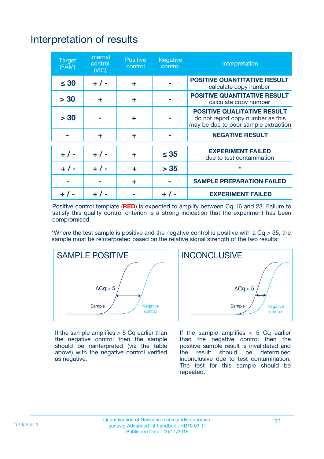# Interpretation of results

| <b>Target</b><br>(FAM) | <b>Internal</b><br>control<br>(NIC) | <b>Positive</b><br>control | <b>Negative</b><br>control | Interpretation                                                                                                  |
|------------------------|-------------------------------------|----------------------------|----------------------------|-----------------------------------------------------------------------------------------------------------------|
| $\leq 30$              | $+ 1 -$                             | ÷                          |                            | <b>POSITIVE QUANTITATIVE RESULT</b><br>calculate copy number                                                    |
| > 30                   | ٠                                   | ÷                          |                            | <b>POSITIVE QUANTITATIVE RESULT</b><br>calculate copy number                                                    |
| > 30                   |                                     | ÷                          |                            | <b>POSITIVE QUALITATIVE RESULT</b><br>do not report copy number as this<br>may be due to poor sample extraction |
|                        | ÷                                   | ÷                          |                            | <b>NEGATIVE RESULT</b>                                                                                          |
| $+ 1 -$                | $+ 1 -$                             | ÷                          | $\leq$ 35                  | <b>EXPERIMENT FAILED</b><br>due to test contamination                                                           |
| $+$ / -                | $+ 1 -$                             | ÷                          | > 35                       | $\star$                                                                                                         |
|                        |                                     | ÷                          |                            | <b>SAMPLE PREPARATION FAILED</b>                                                                                |
|                        |                                     |                            | $+$ /                      | <b>EXPERIMENT FAILED</b>                                                                                        |

Positive control template (**RED**) is expected to amplify between Cq 16 and 23. Failure to satisfy this quality control criterion is a strong indication that the experiment has been compromised.

\*Where the test sample is positive and the negative control is positive with a  $Ca > 35$ , the sample must be reinterpreted based on the relative signal strength of the two results:



If the sample amplifies  $> 5$  Cq earlier than the negative control then the sample should be reinterpreted (via the table above) with the negative control verified as negative.



If the sample amplifies  $< 5$  Cq earlier than the negative control then the positive sample result is invalidated and<br>the result should be determined  $the$  result should be inconclusive due to test contamination. The test for this sample should be repeated.